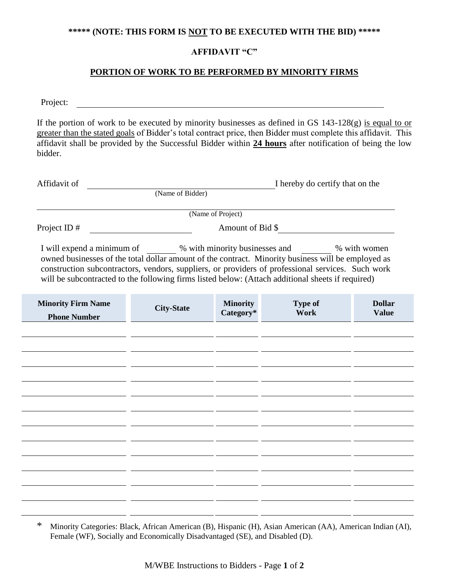### **\*\*\*\*\* (NOTE: THIS FORM IS NOT TO BE EXECUTED WITH THE BID) \*\*\*\*\***

# **AFFIDAVIT "C"**

### **PORTION OF WORK TO BE PERFORMED BY MINORITY FIRMS**

Project:

If the portion of work to be executed by minority businesses as defined in GS 143-128(g) is equal to or greater than the stated goals of Bidder's total contract price, then Bidder must complete this affidavit. This affidavit shall be provided by the Successful Bidder within **24 hours** after notification of being the low bidder.

| Affidavit of               |                                                                                                                                                                                                                                                                                                                         | I hereby do certify that on the |  |  |
|----------------------------|-------------------------------------------------------------------------------------------------------------------------------------------------------------------------------------------------------------------------------------------------------------------------------------------------------------------------|---------------------------------|--|--|
|                            | (Name of Bidder)                                                                                                                                                                                                                                                                                                        |                                 |  |  |
|                            | (Name of Project)                                                                                                                                                                                                                                                                                                       |                                 |  |  |
| Project ID $#$             | Amount of Bid \$                                                                                                                                                                                                                                                                                                        |                                 |  |  |
| I will expend a minimum of | % with minority businesses and<br>$\mathbf{11}$ , and $\mathbf{12}$ , and $\mathbf{13}$ , and $\mathbf{14}$ , and $\mathbf{14}$ , and $\mathbf{14}$ , and $\mathbf{14}$ , and $\mathbf{14}$ , and $\mathbf{14}$ , and $\mathbf{14}$ , and $\mathbf{14}$ , and $\mathbf{14}$ , and $\mathbf{14}$ , and $\mathbf{14}$ , a | % with women                    |  |  |

owned businesses of the total dollar amount of the contract. Minority business will be employed as construction subcontractors, vendors, suppliers, or providers of professional services. Such work will be subcontracted to the following firms listed below: (Attach additional sheets if required)

| <b>Minority Firm Name</b><br><b>Phone Number</b> | <b>City-State</b> | <b>Minority</b><br>Category* | <b>Type of</b><br>Work | <b>Dollar</b><br><b>Value</b> |
|--------------------------------------------------|-------------------|------------------------------|------------------------|-------------------------------|
|                                                  |                   |                              |                        |                               |
|                                                  |                   |                              |                        |                               |
|                                                  |                   |                              |                        |                               |
|                                                  |                   |                              |                        |                               |
|                                                  |                   |                              |                        |                               |
|                                                  |                   |                              |                        |                               |
|                                                  |                   |                              |                        |                               |
|                                                  |                   |                              |                        |                               |
|                                                  |                   |                              |                        |                               |
|                                                  |                   |                              |                        |                               |

<sup>\*</sup> Minority Categories: Black, African American (B), Hispanic (H), Asian American (AA), American Indian (AI), Female (WF), Socially and Economically Disadvantaged (SE), and Disabled (D).